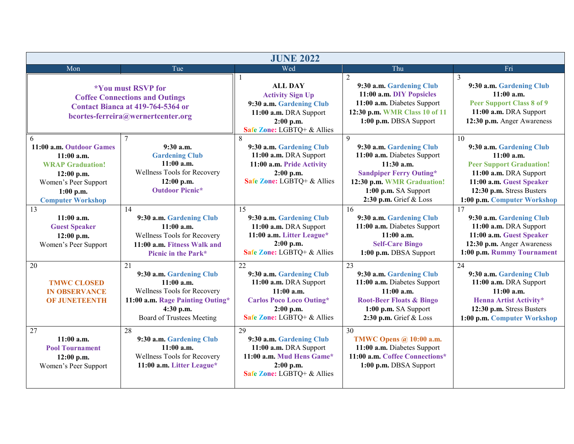| <b>JUNE 2022</b>                                                                                                                                            |                                                                                                                                                             |                                                                                                                                                          |                                                                                                                                                                                                             |                                                                                                                                                                                                     |
|-------------------------------------------------------------------------------------------------------------------------------------------------------------|-------------------------------------------------------------------------------------------------------------------------------------------------------------|----------------------------------------------------------------------------------------------------------------------------------------------------------|-------------------------------------------------------------------------------------------------------------------------------------------------------------------------------------------------------------|-----------------------------------------------------------------------------------------------------------------------------------------------------------------------------------------------------|
| Mon                                                                                                                                                         | Tue                                                                                                                                                         | Wed                                                                                                                                                      | Thu                                                                                                                                                                                                         | Fri                                                                                                                                                                                                 |
| <i><b>*You must RSVP for</b></i><br><b>Coffee Connections and Outings</b><br>Contact Bianca at 419-764-5364 or<br>bcortes-ferreira@wernertcenter.org        |                                                                                                                                                             | <b>ALL DAY</b><br><b>Activity Sign Up</b><br>9:30 a.m. Gardening Club<br>11:00 a.m. DRA Support<br>$2:00$ p.m.<br>Safe Zone: LGBTQ+ & Allies             | 2<br>9:30 a.m. Gardening Club<br>11:00 a.m. DIY Popsicles<br>11:00 a.m. Diabetes Support<br>12:30 p.m. WMR Class 10 of 11<br>1:00 p.m. DBSA Support                                                         | 3<br>9:30 a.m. Gardening Club<br>$11:00$ a.m.<br><b>Peer Support Class 8 of 9</b><br>11:00 a.m. DRA Support<br>12:30 p.m. Anger Awareness                                                           |
| 6<br>11:00 a.m. Outdoor Games<br>$11:00$ a.m.<br><b>WRAP Graduation!</b><br>$12:00$ p.m.<br>Women's Peer Support<br>$1:00$ p.m.<br><b>Computer Workshop</b> | 9:30a.m.<br><b>Gardening Club</b><br>$11:00$ a.m.<br>Wellness Tools for Recovery<br>$12:00$ p.m.<br><b>Outdoor Picnic*</b>                                  | 9:30 a.m. Gardening Club<br>11:00 a.m. DRA Support<br>11:00 a.m. Pride Activity<br>$2:00$ p.m.<br>Safe Zone: LGBTQ+ & Allies                             | $\overline{9}$<br>9:30 a.m. Gardening Club<br>11:00 a.m. Diabetes Support<br>$11:30$ a.m.<br><b>Sandpiper Ferry Outing*</b><br>12:30 p.m. WMR Graduation!<br>1:00 p.m. SA Support<br>2:30 p.m. Grief & Loss | 10<br>9:30 a.m. Gardening Club<br>$11:00$ a.m.<br><b>Peer Support Graduation!</b><br>11:00 a.m. DRA Support<br>11:00 a.m. Guest Speaker<br>12:30 p.m. Stress Busters<br>1:00 p.m. Computer Workshop |
| 13<br>$11:00$ a.m.<br><b>Guest Speaker</b><br>$12:00$ p.m.<br>Women's Peer Support                                                                          | 14<br>9:30 a.m. Gardening Club<br>$11:00$ a.m.<br>Wellness Tools for Recovery<br>11:00 a.m. Fitness Walk and<br>Picnic in the Park*                         | 15<br>9:30 a.m. Gardening Club<br>11:00 a.m. DRA Support<br>11:00 a.m. Litter League*<br>$2:00$ p.m.<br>Safe Zone: LGBTQ+ & Allies                       | 16<br>9:30 a.m. Gardening Club<br>11:00 a.m. Diabetes Support<br>$11:00$ a.m.<br><b>Self-Care Bingo</b><br>1:00 p.m. DBSA Support                                                                           | 17<br>9:30 a.m. Gardening Club<br>11:00 a.m. DRA Support<br>11:00 a.m. Guest Speaker<br>12:30 p.m. Anger Awareness<br>1:00 p.m. Rummy Tournament                                                    |
| 20<br><b>TMWC CLOSED</b><br><b>IN OBSERVANCE</b><br><b>OF JUNETEENTH</b>                                                                                    | 21<br>9:30 a.m. Gardening Club<br>$11:00$ a.m.<br>Wellness Tools for Recovery<br>11:00 a.m. Rage Painting Outing*<br>4:30 p.m.<br>Board of Trustees Meeting | 22<br>9:30 a.m. Gardening Club<br>11:00 a.m. DRA Support<br>$11:00$ a.m.<br><b>Carlos Poco Loco Outing*</b><br>$2:00$ p.m.<br>Safe Zone: LGBTQ+ & Allies | $\overline{23}$<br>9:30 a.m. Gardening Club<br>11:00 a.m. Diabetes Support<br>11:00a.m.<br><b>Root-Beer Floats &amp; Bingo</b><br>1:00 p.m. SA Support<br>2:30 p.m. Grief & Loss                            | 24<br>9:30 a.m. Gardening Club<br>11:00 a.m. DRA Support<br>$11:00$ a.m.<br>Henna Artist Activity*<br>12:30 p.m. Stress Busters<br>1:00 p.m. Computer Workshop                                      |
| 27<br>$11:00$ a.m.<br><b>Pool Tournament</b><br>$12:00$ p.m.<br>Women's Peer Support                                                                        | 28<br>9:30 a.m. Gardening Club<br>$11:00$ a.m.<br>Wellness Tools for Recovery<br>11:00 a.m. Litter League*                                                  | 29<br>9:30 a.m. Gardening Club<br>11:00 a.m. DRA Support<br>11:00 a.m. Mud Hens Game*<br>$2:00$ p.m.<br>Safe Zone: LGBTQ+ & Allies                       | $\overline{30}$<br><b>TMWC Opens @ 10:00 a.m.</b><br>11:00 a.m. Diabetes Support<br>11:00 a.m. Coffee Connections*<br>1:00 p.m. DBSA Support                                                                |                                                                                                                                                                                                     |